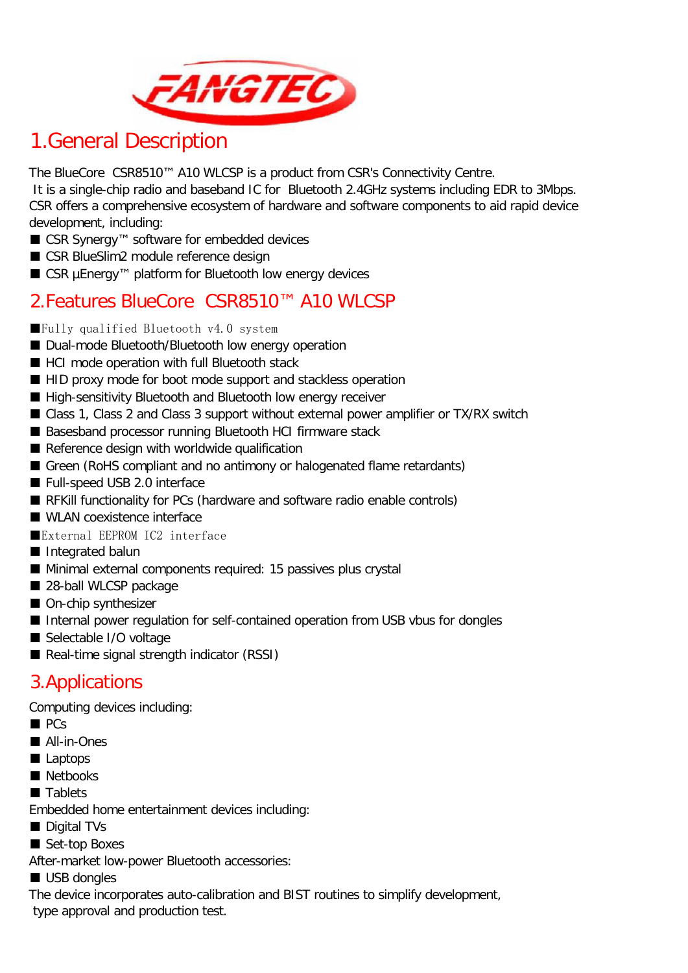

## 1.General Description

The BlueCore CSR8510™ A10 WLCSP is a product from CSR's Connectivity Centre.

 It is a single-chip radio and baseband IC for Bluetooth 2.4GHz systems including EDR to 3Mbps. CSR offers a comprehensive ecosystem of hardware and software components to aid rapid device development, including:

- CSR Synergy<sup>™</sup> software for embedded devices
- CSR BlueSlim2 module reference design
- CSR µEnergy<sup>™</sup> platform for Bluetooth low energy devices

### 2.Features BlueCore CSR8510™ A10 WLCSP

- ■Fully qualified Bluetooth v4.0 system
- Dual-mode Bluetooth/Bluetooth low energy operation
- HCI mode operation with full Bluetooth stack
- HID proxy mode for boot mode support and stackless operation
- High-sensitivity Bluetooth and Bluetooth low energy receiver
- Class 1, Class 2 and Class 3 support without external power amplifier or TX/RX switch
- Basesband processor running Bluetooth HCI firmware stack
- Reference design with worldwide qualification
- Green (RoHS compliant and no antimony or halogenated flame retardants)
- Full-speed USB 2.0 interface
- RFKill functionality for PCs (hardware and software radio enable controls)
- WLAN coexistence interface
- ■External EEPROM IC2 interface
- Integrated balun
- Minimal external components required: 15 passives plus crystal
- 28-ball WLCSP package
- On-chip synthesizer
- Internal power regulation for self-contained operation from USB vbus for dongles
- Selectable I/O voltage
- Real-time signal strength indicator (RSSI)

### 3.Applications

Computing devices including:

- PCs
- All-in-Ones
- Laptops
- Netbooks
- Tablets
- Embedded home entertainment devices including:
- Digital TVs
- Set-top Boxes

After-market low-power Bluetooth accessories:

■ USB dongles

The device incorporates auto-calibration and BIST routines to simplify development, type approval and production test.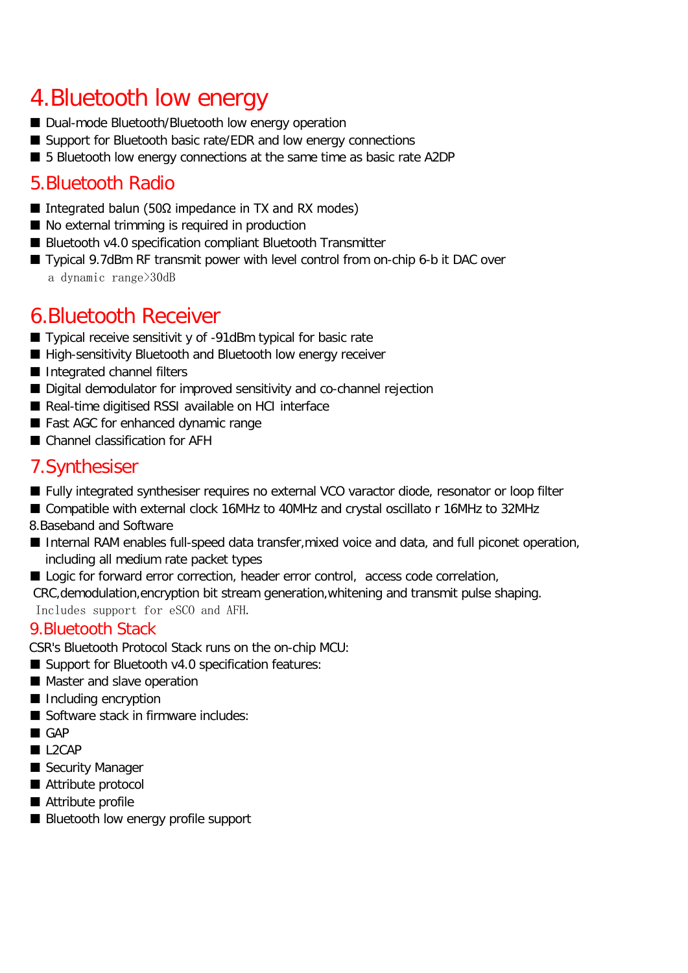## 4.Bluetooth low energy

- Dual-mode Bluetooth/Bluetooth low energy operation
- Support for Bluetooth basic rate/EDR and low energy connections
- 5 Bluetooth low energy connections at the same time as basic rate A2DP

## 5.Bluetooth Radio

- Integrated balun (50Ω impedance in TX and RX modes)
- No external trimming is required in production
- Bluetooth v4.0 specification compliant Bluetooth Transmitter
- Typical 9.7dBm RF transmit power with level control from on-chip 6-b it DAC over a dynamic range>30dB

## 6.Bluetooth Receiver

- Typical receive sensitivit y of -91dBm typical for basic rate
- High-sensitivity Bluetooth and Bluetooth low energy receiver
- Integrated channel filters
- Digital demodulator for improved sensitivity and co-channel rejection
- Real-time digitised RSSI available on HCI interface
- Fast AGC for enhanced dynamic range
- Channel classification for AFH

### 7.Synthesiser

- Fully integrated synthesiser requires no external VCO varactor diode, resonator or loop filter
- Compatible with external clock 16MHz to 40MHz and crystal oscillato r 16MHz to 32MHz

8.Baseband and Software

- Internal RAM enables full-speed data transfer, mixed voice and data, and full piconet operation, including all medium rate packet types
- Logic for forward error correction, header error control, access code correlation,

CRC,demodulation,encryption bit stream generation,whitening and transmit pulse shaping.

Includes support for eSCO and AFH.

#### 9.Bluetooth Stack

CSR's Bluetooth Protocol Stack runs on the on-chip MCU:

- Support for Bluetooth v4.0 specification features:
- Master and slave operation
- Including encryption
- Software stack in firmware includes:
- GAP
- L<sub>2</sub>CAP
- Security Manager
- Attribute protocol
- Attribute profile
- Bluetooth low energy profile support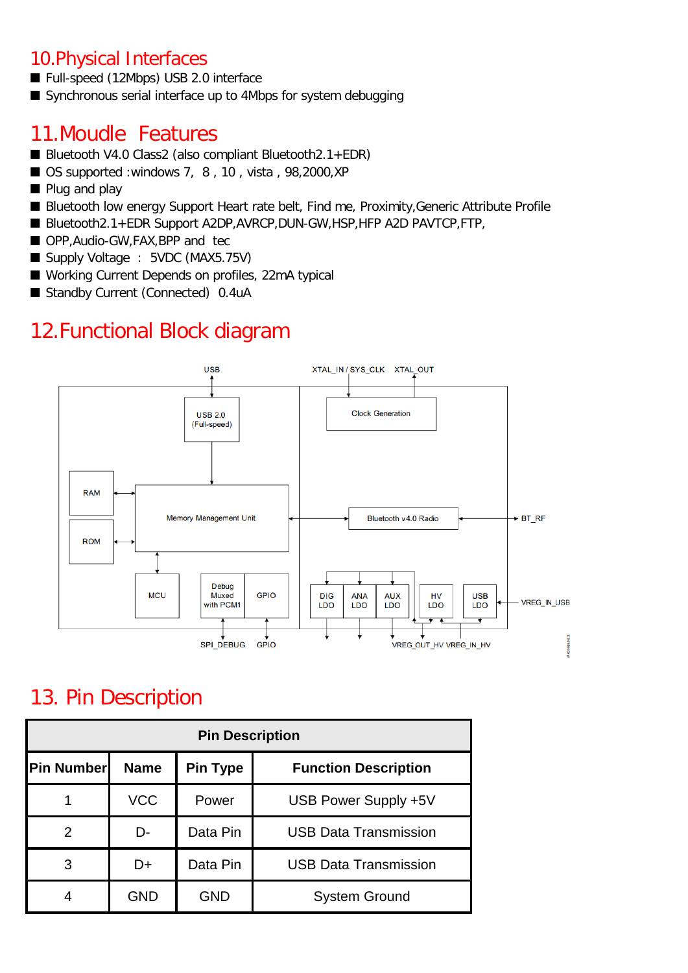### 10.Physical Interfaces

- Full-speed (12Mbps) USB 2.0 interface
- Synchronous serial interface up to 4Mbps for system debugging

## 11.Moudle Features

- Bluetooth V4.0 Class2 (also compliant Bluetooth2.1+EDR)
- OS supported :windows 7, 8, 10, vista, 98,2000, XP
- Plug and play
- Bluetooth low energy Support Heart rate belt, Find me, Proximity, Generic Attribute Profile
- Bluetooth2.1+EDR Support A2DP, AVRCP, DUN-GW, HSP, HFP A2D PAVTCP, FTP,
- OPP, Audio-GW, FAX, BPP and tec
- Supply Voltage : 5VDC (MAX5.75V)
- Working Current Depends on profiles, 22mA typical
- Standby Current (Connected) 0.4uA

## 12.Functional Block diagram



## 13. Pin Description

| <b>Pin Description</b> |             |                 |                              |
|------------------------|-------------|-----------------|------------------------------|
| <b>IPin Numberl</b>    | <b>Name</b> | <b>Pin Type</b> | <b>Function Description</b>  |
|                        | <b>VCC</b>  | Power           | USB Power Supply +5V         |
| 2                      | D-          | Data Pin        | <b>USB Data Transmission</b> |
| 3                      | D+          | Data Pin        | <b>USB Data Transmission</b> |
|                        | <b>GND</b>  | <b>GND</b>      | <b>System Ground</b>         |